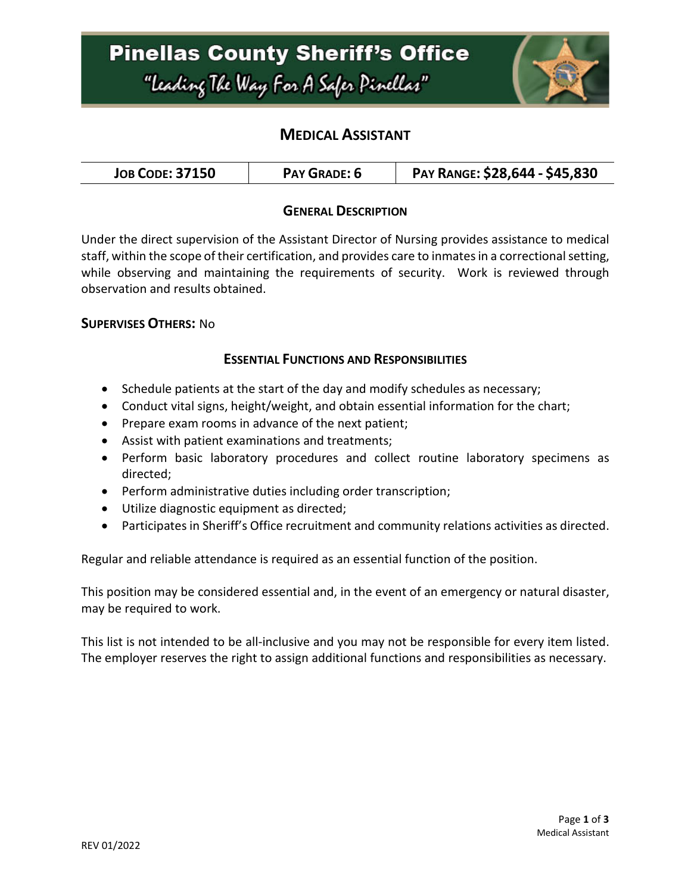# **Pinellas County Sheriff's Office** "Leading The Way For A Safer Pinellar"



## **MEDICAL ASSISTANT**

| <b>JOB CODE: 37150</b><br>PAY GRADE: 6 | PAY RANGE: \$28,644 - \$45,830 |
|----------------------------------------|--------------------------------|
|----------------------------------------|--------------------------------|

### **GENERAL DESCRIPTION**

Under the direct supervision of the Assistant Director of Nursing provides assistance to medical staff, within the scope of their certification, and provides care to inmates in a correctional setting, while observing and maintaining the requirements of security. Work is reviewed through observation and results obtained.

#### **SUPERVISES OTHERS:** No

#### **ESSENTIAL FUNCTIONS AND RESPONSIBILITIES**

- Schedule patients at the start of the day and modify schedules as necessary;
- Conduct vital signs, height/weight, and obtain essential information for the chart;
- Prepare exam rooms in advance of the next patient;
- Assist with patient examinations and treatments;
- Perform basic laboratory procedures and collect routine laboratory specimens as directed;
- Perform administrative duties including order transcription;
- Utilize diagnostic equipment as directed;
- Participates in Sheriff's Office recruitment and community relations activities as directed.

Regular and reliable attendance is required as an essential function of the position.

This position may be considered essential and, in the event of an emergency or natural disaster, may be required to work.

This list is not intended to be all-inclusive and you may not be responsible for every item listed. The employer reserves the right to assign additional functions and responsibilities as necessary.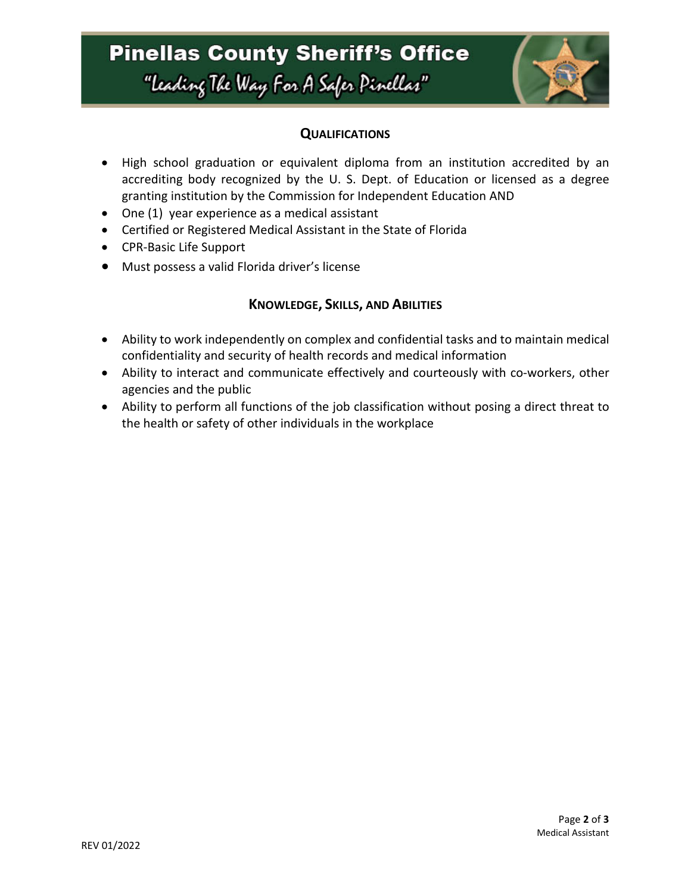# **Pinellas County Sheriff's Office** "leading The Way For A Safer Pinellar"



### **QUALIFICATIONS**

- High school graduation or equivalent diploma from an institution accredited by an accrediting body recognized by the U. S. Dept. of Education or licensed as a degree granting institution by the Commission for Independent Education AND
- One (1) year experience as a medical assistant
- Certified or Registered Medical Assistant in the State of Florida
- CPR-Basic Life Support
- Must possess a valid Florida driver's license

### **KNOWLEDGE, SKILLS, AND ABILITIES**

- Ability to work independently on complex and confidential tasks and to maintain medical confidentiality and security of health records and medical information
- Ability to interact and communicate effectively and courteously with co-workers, other agencies and the public
- Ability to perform all functions of the job classification without posing a direct threat to the health or safety of other individuals in the workplace